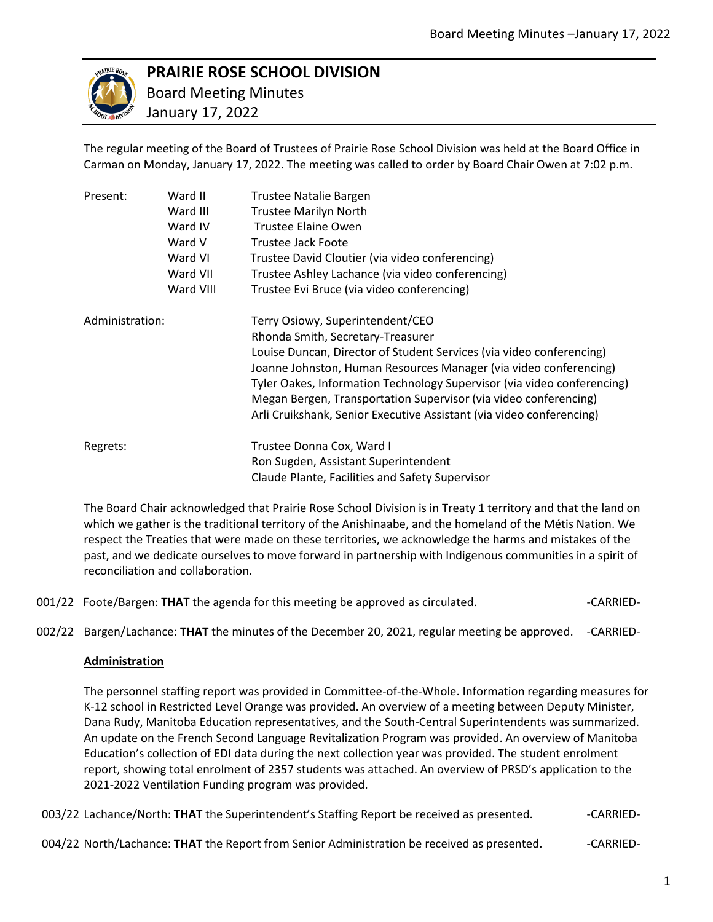

# **PRAIRIE ROSE SCHOOL DIVISION**

 Board Meeting Minutes January 17, 2022

The regular meeting of the Board of Trustees of Prairie Rose School Division was held at the Board Office in Carman on Monday, January 17, 2022. The meeting was called to order by Board Chair Owen at 7:02 p.m.

| Present:        | Ward II   | Trustee Natalie Bargen                                                  |
|-----------------|-----------|-------------------------------------------------------------------------|
|                 | Ward III  | <b>Trustee Marilyn North</b>                                            |
|                 | Ward IV   | Trustee Elaine Owen                                                     |
|                 | Ward V    | Trustee Jack Foote                                                      |
|                 | Ward VI   | Trustee David Cloutier (via video conferencing)                         |
|                 | Ward VII  | Trustee Ashley Lachance (via video conferencing)                        |
|                 | Ward VIII | Trustee Evi Bruce (via video conferencing)                              |
| Administration: |           | Terry Osiowy, Superintendent/CEO                                        |
|                 |           | Rhonda Smith, Secretary-Treasurer                                       |
|                 |           | Louise Duncan, Director of Student Services (via video conferencing)    |
|                 |           | Joanne Johnston, Human Resources Manager (via video conferencing)       |
|                 |           | Tyler Oakes, Information Technology Supervisor (via video conferencing) |
|                 |           | Megan Bergen, Transportation Supervisor (via video conferencing)        |
|                 |           | Arli Cruikshank, Senior Executive Assistant (via video conferencing)    |
| Regrets:        |           | Trustee Donna Cox, Ward I                                               |
|                 |           | Ron Sugden, Assistant Superintendent                                    |
|                 |           | Claude Plante, Facilities and Safety Supervisor                         |

The Board Chair acknowledged that Prairie Rose School Division is in Treaty 1 territory and that the land on which we gather is the traditional territory of the Anishinaabe, and the homeland of the Métis Nation. We respect the Treaties that were made on these territories, we acknowledge the harms and mistakes of the past, and we dedicate ourselves to move forward in partnership with Indigenous communities in a spirit of reconciliation and collaboration.

001/22 Foote/Bargen: **THAT** the agenda for this meeting be approved as circulated.  $\blacksquare$  -CARRIED-

002/22 Bargen/Lachance: **THAT** the minutes of the December 20, 2021, regular meeting be approved. -CARRIED-

## **Administration**

The personnel staffing report was provided in Committee-of-the-Whole. Information regarding measures for K-12 school in Restricted Level Orange was provided. An overview of a meeting between Deputy Minister, Dana Rudy, Manitoba Education representatives, and the South-Central Superintendents was summarized. An update on the French Second Language Revitalization Program was provided. An overview of Manitoba Education's collection of EDI data during the next collection year was provided. The student enrolment report, showing total enrolment of 2357 students was attached. An overview of PRSD's application to the 2021-2022 Ventilation Funding program was provided.

003/22 Lachance/North: **THAT** the Superintendent's Staffing Report be received as presented. - - CARRIED-

004/22 North/Lachance: **THAT** the Report from Senior Administration be received as presented. -------------------